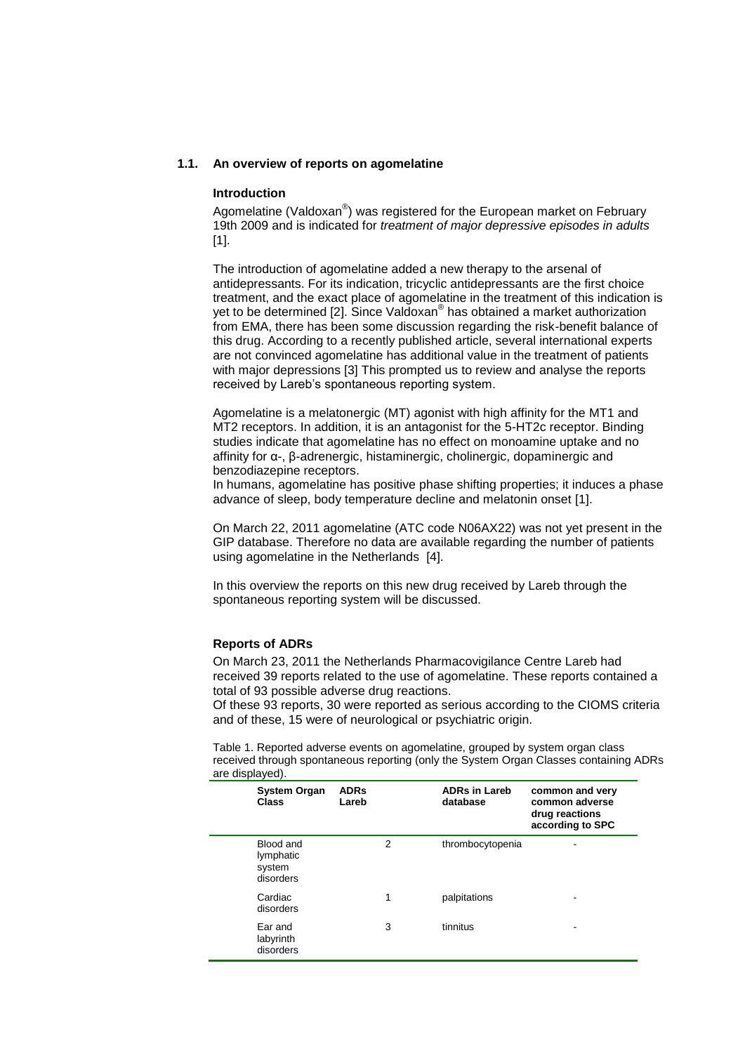# **1.1. An overview of reports on agomelatine**

#### **Introduction**

Agomelatine (Valdoxan®) was registered for the European market on February 19th 2009 and is indicated for *treatment of major depressive episodes in adults* [1].

The introduction of agomelatine added a new therapy to the arsenal of antidepressants. For its indication, tricyclic antidepressants are the first choice treatment, and the exact place of agomelatine in the treatment of this indication is yet to be determined [2]. Since Valdoxan® has obtained a market authorization from EMA, there has been some discussion regarding the risk-benefit balance of this drug. According to a recently published article, several international experts are not convinced agomelatine has additional value in the treatment of patients with major depressions [3] This prompted us to review and analyse the reports received by Lareb's spontaneous reporting system.

Agomelatine is a melatonergic (MT) agonist with high affinity for the MT1 and MT2 receptors. In addition, it is an antagonist for the 5-HT2c receptor. Binding studies indicate that agomelatine has no effect on monoamine uptake and no affinity for α-, β-adrenergic, histaminergic, cholinergic, dopaminergic and benzodiazepine receptors.

In humans, agomelatine has positive phase shifting properties; it induces a phase advance of sleep, body temperature decline and melatonin onset [1].

On March 22, 2011 agomelatine (ATC code N06AX22) was not yet present in the GIP database. Therefore no data are available regarding the number of patients using agomelatine in the Netherlands [4].

In this overview the reports on this new drug received by Lareb through the spontaneous reporting system will be discussed.

## **Reports of ADRs**

On March 23, 2011 the Netherlands Pharmacovigilance Centre Lareb had received 39 reports related to the use of agomelatine. These reports contained a total of 93 possible adverse drug reactions.

Of these 93 reports, 30 were reported as serious according to the CIOMS criteria and of these, 15 were of neurological or psychiatric origin.

Table 1. Reported adverse events on agomelatine, grouped by system organ class received through spontaneous reporting (only the System Organ Classes containing ADRs are displayed).

| <b>System Organ</b><br><b>Class</b>           | <b>ADRs</b><br>Lareb |                | <b>ADRs in Lareb</b><br>database | common and very<br>common adverse<br>drug reactions<br>according to SPC |
|-----------------------------------------------|----------------------|----------------|----------------------------------|-------------------------------------------------------------------------|
| Blood and<br>lymphatic<br>system<br>disorders |                      | $\overline{2}$ | thrombocytopenia                 | ۰                                                                       |
| Cardiac<br>disorders                          |                      | 1              | palpitations                     |                                                                         |
| Ear and<br>labyrinth<br>disorders             |                      | 3              | tinnitus                         | -                                                                       |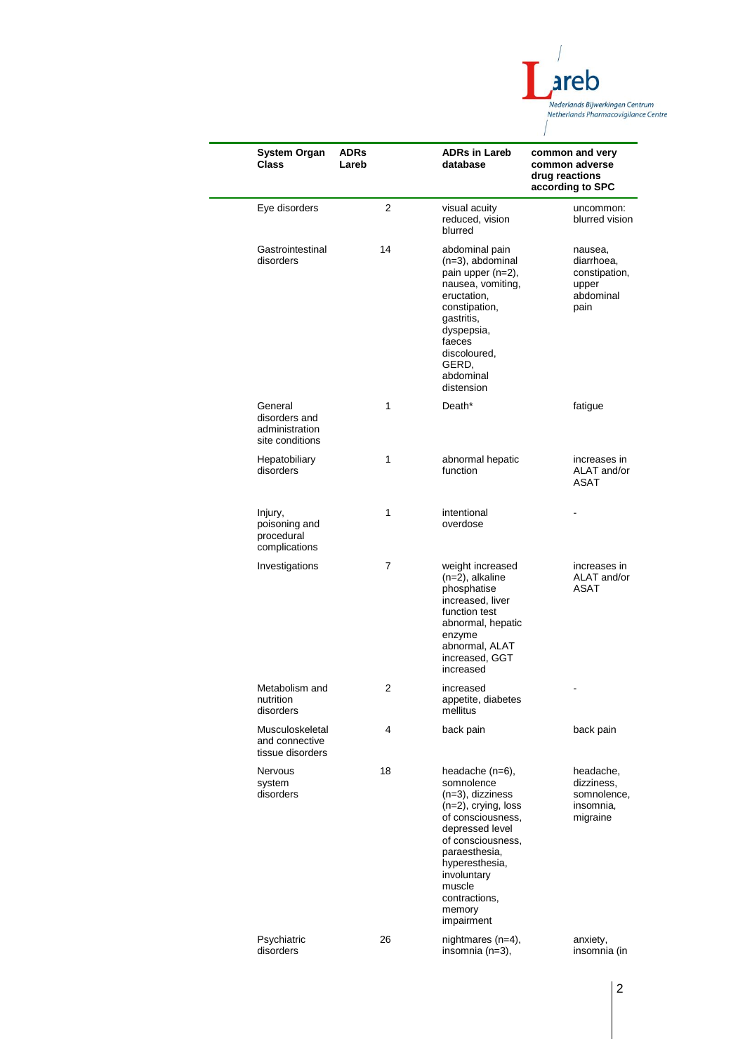

| <b>System Organ</b><br><b>Class</b>                           | <b>ADRs</b><br>Lareb | <b>ADRs in Lareb</b><br>database                                                                                                                                                                                                              | common and very<br>common adverse<br>drug reactions<br>according to SPC |
|---------------------------------------------------------------|----------------------|-----------------------------------------------------------------------------------------------------------------------------------------------------------------------------------------------------------------------------------------------|-------------------------------------------------------------------------|
| Eye disorders                                                 | 2                    | visual acuity<br>reduced, vision<br>blurred                                                                                                                                                                                                   | uncommon:<br>blurred vision                                             |
| Gastrointestinal<br>disorders                                 | 14                   | abdominal pain<br>$(n=3)$ , abdominal<br>pain upper (n=2),<br>nausea, vomiting,<br>eructation,<br>constipation,<br>gastritis,<br>dyspepsia,<br>faeces<br>discoloured,<br>GERD,<br>abdominal<br>distension                                     | nausea,<br>diarrhoea,<br>constipation,<br>upper<br>abdominal<br>pain    |
| General<br>disorders and<br>administration<br>site conditions | 1                    | Death*                                                                                                                                                                                                                                        | fatigue                                                                 |
| Hepatobiliary<br>disorders                                    | 1                    | abnormal hepatic<br>function                                                                                                                                                                                                                  | increases in<br>ALAT and/or<br>ASAT                                     |
| Injury,<br>poisoning and<br>procedural<br>complications       | 1                    | intentional<br>overdose                                                                                                                                                                                                                       |                                                                         |
| Investigations                                                | 7                    | weight increased<br>$(n=2)$ , alkaline<br>phosphatise<br>increased, liver<br>function test<br>abnormal, hepatic<br>enzyme<br>abnormal, ALAT<br>increased, GGT<br>increased                                                                    | increases in<br>ALAT and/or<br>ASAT                                     |
| Metabolism and<br>nutrition<br>disorders                      | 2                    | increased<br>appetite, diabetes<br>mellitus                                                                                                                                                                                                   |                                                                         |
| Musculoskeletal<br>and connective<br>tissue disorders         | 4                    | back pain                                                                                                                                                                                                                                     | back pain                                                               |
| <b>Nervous</b><br>system<br>disorders                         | 18                   | headache (n=6),<br>somnolence<br>(n=3), dizziness<br>$(n=2)$ , crying, loss<br>of consciousness.<br>depressed level<br>of consciousness.<br>paraesthesia,<br>hyperesthesia,<br>involuntary<br>muscle<br>contractions,<br>memory<br>impairment | headache,<br>dizziness,<br>somnolence,<br>insomnia,<br>migraine         |
| Psychiatric<br>disorders                                      | 26                   | nightmares (n=4),<br>insomnia (n=3),                                                                                                                                                                                                          | anxiety,<br>insomnia (in                                                |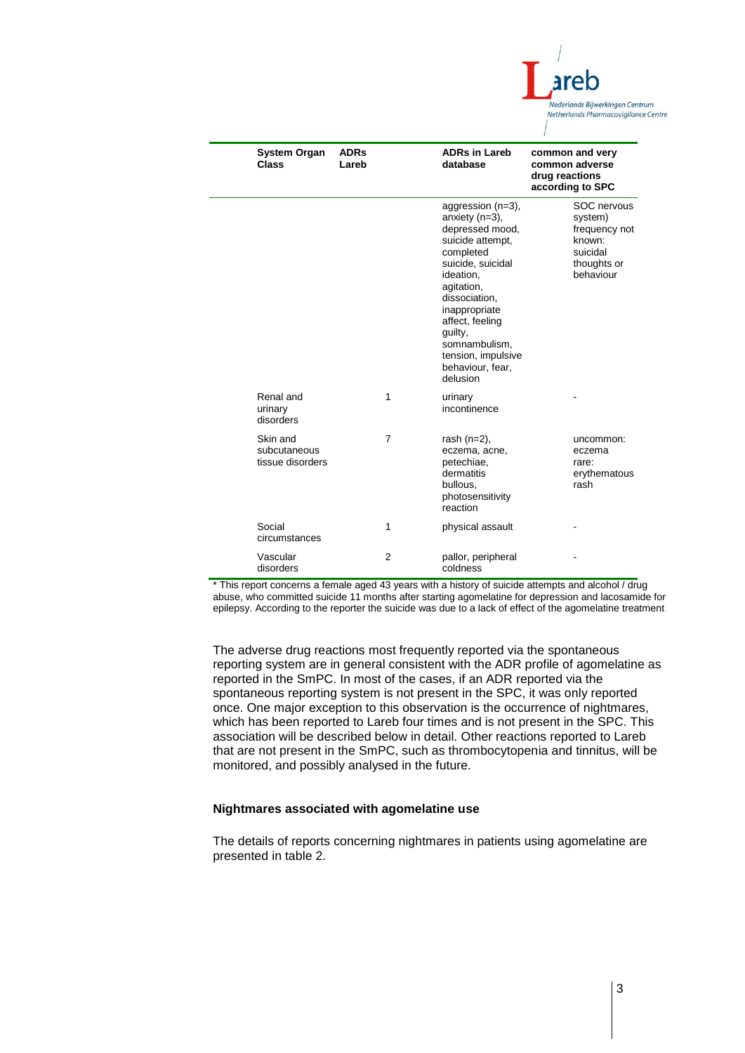

| <b>System Organ</b><br><b>Class</b>          | <b>ADRs</b><br>Lareb |                | <b>ADRs in Lareb</b><br>database                                                                                                                                                                                                                                                  | common and very<br>common adverse<br>drug reactions<br>according to SPC                   |
|----------------------------------------------|----------------------|----------------|-----------------------------------------------------------------------------------------------------------------------------------------------------------------------------------------------------------------------------------------------------------------------------------|-------------------------------------------------------------------------------------------|
|                                              |                      |                | aggression (n=3),<br>anxiety $(n=3)$ ,<br>depressed mood,<br>suicide attempt.<br>completed<br>suicide, suicidal<br>ideation,<br>agitation,<br>dissociation.<br>inappropriate<br>affect, feeling<br>guilty,<br>somnambulism,<br>tension, impulsive<br>behaviour, fear,<br>delusion | SOC nervous<br>system)<br>frequency not<br>known:<br>suicidal<br>thoughts or<br>behaviour |
| Renal and<br>urinary<br>disorders            |                      | 1              | urinary<br>incontinence                                                                                                                                                                                                                                                           |                                                                                           |
| Skin and<br>subcutaneous<br>tissue disorders |                      | $\overline{7}$ | rash $(n=2)$ ,<br>eczema, acne,<br>petechiae,<br>dermatitis<br>bullous.<br>photosensitivity<br>reaction                                                                                                                                                                           | uncommon:<br>eczema<br>rare:<br>erythematous<br>rash                                      |
| Social<br>circumstances                      |                      | 1              | physical assault                                                                                                                                                                                                                                                                  |                                                                                           |
| Vascular<br>disorders                        |                      | $\overline{2}$ | pallor, peripheral<br>coldness                                                                                                                                                                                                                                                    |                                                                                           |

\* This report concerns a female aged 43 years with a history of suicide attempts and alcohol / drug abuse, who committed suicide 11 months after starting agomelatine for depression and lacosamide for epilepsy. According to the reporter the suicide was due to a lack of effect of the agomelatine treatment

The adverse drug reactions most frequently reported via the spontaneous reporting system are in general consistent with the ADR profile of agomelatine as reported in the SmPC. In most of the cases, if an ADR reported via the spontaneous reporting system is not present in the SPC, it was only reported once. One major exception to this observation is the occurrence of nightmares, which has been reported to Lareb four times and is not present in the SPC. This association will be described below in detail. Other reactions reported to Lareb that are not present in the SmPC, such as thrombocytopenia and tinnitus, will be monitored, and possibly analysed in the future.

### **Nightmares associated with agomelatine use**

The details of reports concerning nightmares in patients using agomelatine are presented in table 2.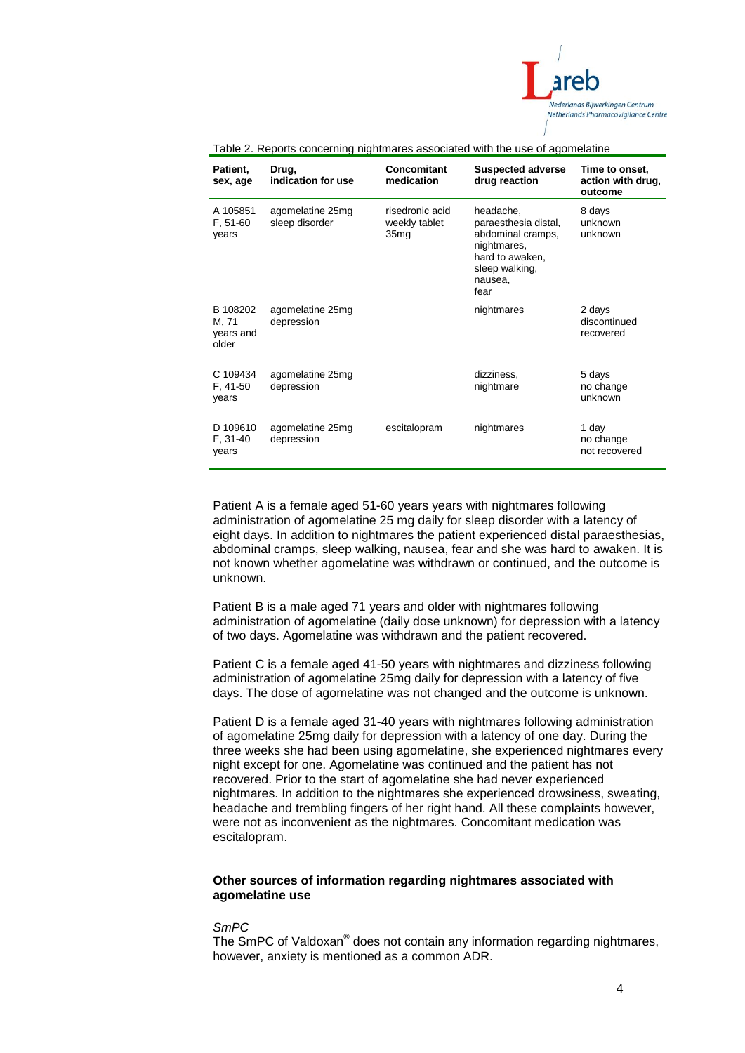

| Patient.<br>sex, age                    | Drug,<br>indication for use        | Concomitant<br>medication                            | <b>Suspected adverse</b><br>drug reaction                                                                                     | Time to onset,<br>action with drug,<br>outcome |
|-----------------------------------------|------------------------------------|------------------------------------------------------|-------------------------------------------------------------------------------------------------------------------------------|------------------------------------------------|
| A 105851<br>$F, 51-60$<br>years         | agomelatine 25mg<br>sleep disorder | risedronic acid<br>weekly tablet<br>35 <sub>mg</sub> | headache.<br>paraesthesia distal,<br>abdominal cramps,<br>nightmares,<br>hard to awaken,<br>sleep walking,<br>nausea,<br>fear | 8 days<br>unknown<br>unknown                   |
| B 108202<br>M, 71<br>years and<br>older | agomelatine 25mg<br>depression     |                                                      | nightmares                                                                                                                    | 2 days<br>discontinued<br>recovered            |
| C 109434<br>F, 41-50<br>years           | agomelatine 25mg<br>depression     |                                                      | dizziness,<br>nightmare                                                                                                       | 5 days<br>no change<br>unknown                 |
| D 109610<br>F, 31-40<br>years           | agomelatine 25mg<br>depression     | escitalopram                                         | nightmares                                                                                                                    | 1 day<br>no change<br>not recovered            |

## Table 2. Reports concerning nightmares associated with the use of agomelatine

Patient A is a female aged 51-60 years years with nightmares following administration of agomelatine 25 mg daily for sleep disorder with a latency of eight days. In addition to nightmares the patient experienced distal paraesthesias, abdominal cramps, sleep walking, nausea, fear and she was hard to awaken. It is not known whether agomelatine was withdrawn or continued, and the outcome is unknown.

Patient B is a male aged 71 years and older with nightmares following administration of agomelatine (daily dose unknown) for depression with a latency of two days. Agomelatine was withdrawn and the patient recovered.

Patient C is a female aged 41-50 years with nightmares and dizziness following administration of agomelatine 25mg daily for depression with a latency of five days. The dose of agomelatine was not changed and the outcome is unknown.

Patient D is a female aged 31-40 years with nightmares following administration of agomelatine 25mg daily for depression with a latency of one day. During the three weeks she had been using agomelatine, she experienced nightmares every night except for one. Agomelatine was continued and the patient has not recovered. Prior to the start of agomelatine she had never experienced nightmares. In addition to the nightmares she experienced drowsiness, sweating, headache and trembling fingers of her right hand. All these complaints however, were not as inconvenient as the nightmares. Concomitant medication was escitalopram.

# **Other sources of information regarding nightmares associated with agomelatine use**

#### *SmPC*

The SmPC of Valdoxan<sup>®</sup> does not contain any information regarding nightmares, however, anxiety is mentioned as a common ADR.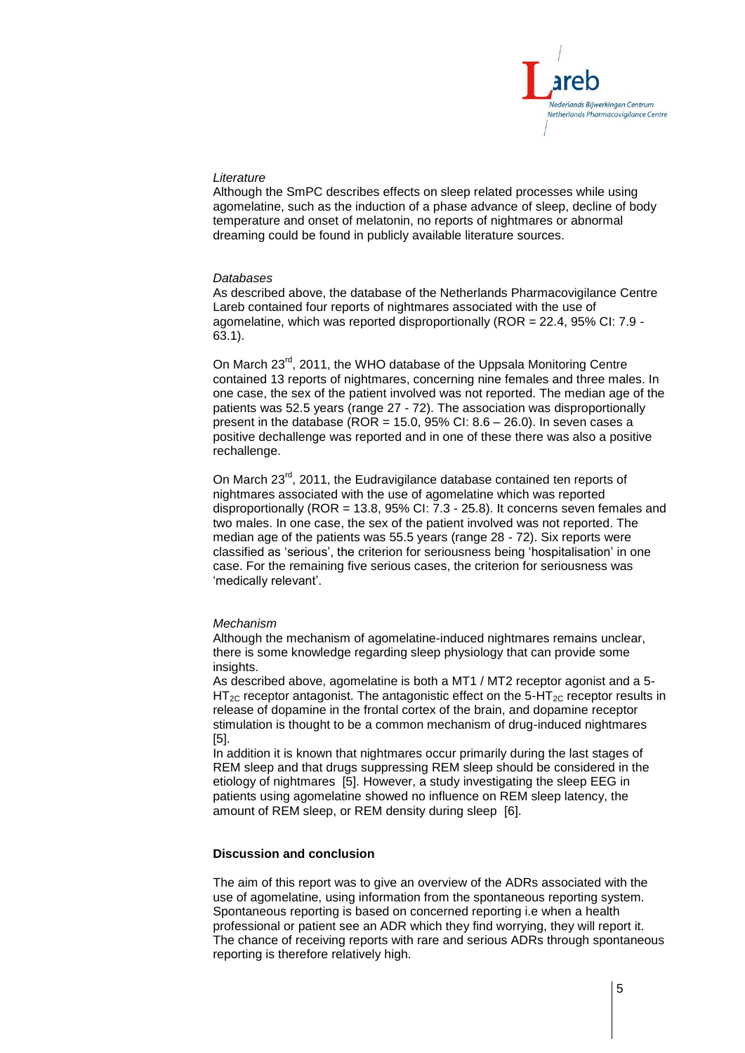

### *Literature*

Although the SmPC describes effects on sleep related processes while using agomelatine, such as the induction of a phase advance of sleep, decline of body temperature and onset of melatonin, no reports of nightmares or abnormal dreaming could be found in publicly available literature sources.

### *Databases*

As described above, the database of the Netherlands Pharmacovigilance Centre Lareb contained four reports of nightmares associated with the use of agomelatine, which was reported disproportionally (ROR = 22.4, 95% CI: 7.9 - 63.1).

On March 23<sup>rd</sup>, 2011, the WHO database of the Uppsala Monitoring Centre contained 13 reports of nightmares, concerning nine females and three males. In one case, the sex of the patient involved was not reported. The median age of the patients was 52.5 years (range 27 - 72). The association was disproportionally present in the database (ROR = 15.0, 95% CI:  $8.6 - 26.0$ ). In seven cases a positive dechallenge was reported and in one of these there was also a positive rechallenge.

On March 23<sup>rd</sup>, 2011, the Eudravigilance database contained ten reports of nightmares associated with the use of agomelatine which was reported disproportionally (ROR = 13.8, 95% CI:  $7.3 - 25.8$ ). It concerns seven females and two males. In one case, the sex of the patient involved was not reported. The median age of the patients was 55.5 years (range 28 - 72). Six reports were classified as 'serious', the criterion for seriousness being 'hospitalisation' in one case. For the remaining five serious cases, the criterion for seriousness was 'medically relevant'.

#### *Mechanism*

Although the mechanism of agomelatine-induced nightmares remains unclear, there is some knowledge regarding sleep physiology that can provide some insights.

As described above, agomelatine is both a MT1 / MT2 receptor agonist and a 5-  $HT_{2C}$  receptor antagonist. The antagonistic effect on the 5-HT<sub>2C</sub> receptor results in release of dopamine in the frontal cortex of the brain, and dopamine receptor stimulation is thought to be a common mechanism of drug-induced nightmares [5].

In addition it is known that nightmares occur primarily during the last stages of REM sleep and that drugs suppressing REM sleep should be considered in the etiology of nightmares [5]. However, a study investigating the sleep EEG in patients using agomelatine showed no influence on REM sleep latency, the amount of REM sleep, or REM density during sleep [6].

# **Discussion and conclusion**

The aim of this report was to give an overview of the ADRs associated with the use of agomelatine, using information from the spontaneous reporting system. Spontaneous reporting is based on concerned reporting i.e when a health professional or patient see an ADR which they find worrying, they will report it. The chance of receiving reports with rare and serious ADRs through spontaneous reporting is therefore relatively high.